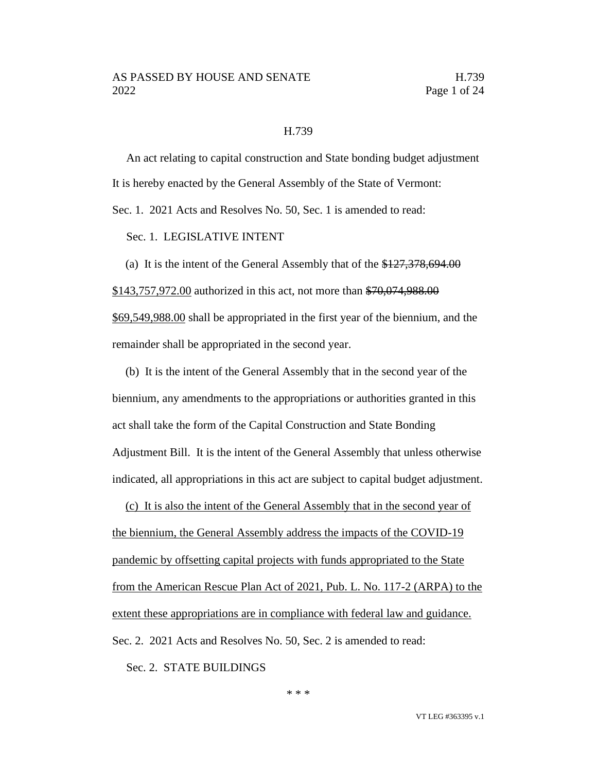### H.739

An act relating to capital construction and State bonding budget adjustment It is hereby enacted by the General Assembly of the State of Vermont:

Sec. 1. 2021 Acts and Resolves No. 50, Sec. 1 is amended to read:

Sec. 1. LEGISLATIVE INTENT

(a) It is the intent of the General Assembly that of the \$127,378,694.00 \$143,757,972.00 authorized in this act, not more than \$70,074,988.00 \$69,549,988.00 shall be appropriated in the first year of the biennium, and the remainder shall be appropriated in the second year.

(b) It is the intent of the General Assembly that in the second year of the biennium, any amendments to the appropriations or authorities granted in this act shall take the form of the Capital Construction and State Bonding Adjustment Bill. It is the intent of the General Assembly that unless otherwise indicated, all appropriations in this act are subject to capital budget adjustment.

(c) It is also the intent of the General Assembly that in the second year of the biennium, the General Assembly address the impacts of the COVID-19 pandemic by offsetting capital projects with funds appropriated to the State from the American Rescue Plan Act of 2021, Pub. L. No. 117-2 (ARPA) to the extent these appropriations are in compliance with federal law and guidance. Sec. 2. 2021 Acts and Resolves No. 50, Sec. 2 is amended to read:

Sec. 2. STATE BUILDINGS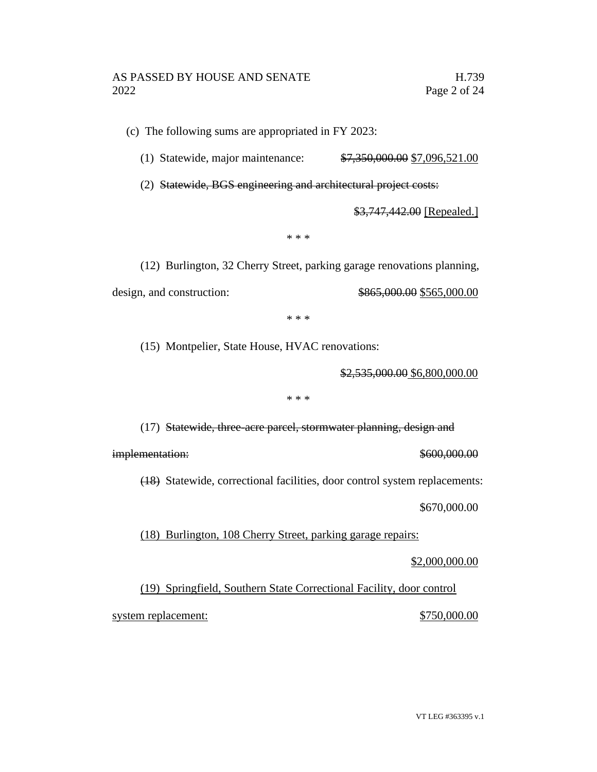(c) The following sums are appropriated in FY 2023:

(1) Statewide, major maintenance: \$7,350,000.00 \$7,096,521.00

(2) Statewide, BGS engineering and architectural project costs:

\$3,747,442.00 [Repealed.]

\* \* \*

(12) Burlington, 32 Cherry Street, parking garage renovations planning, design, and construction:  $\frac{$865,000.00}{$865,000.00}$ 

\* \* \*

(15) Montpelier, State House, HVAC renovations:

\$2,535,000.00 \$6,800,000.00

\* \* \*

(17) Statewide, three-acre parcel, stormwater planning, design and

implementation:  $$600,000.00$ 

(18) Statewide, correctional facilities, door control system replacements:

\$670,000.00

(18) Burlington, 108 Cherry Street, parking garage repairs:

\$2,000,000.00

(19) Springfield, Southern State Correctional Facility, door control system replacement:  $$750,000.00$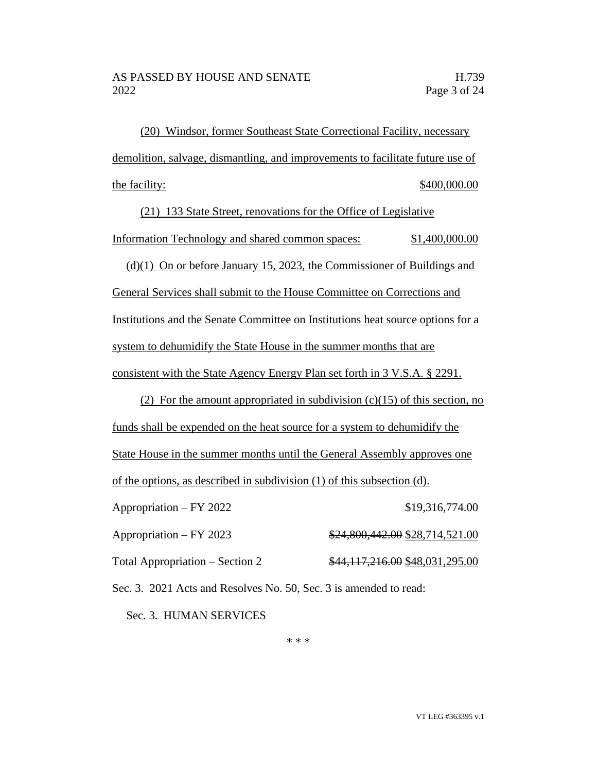(20) Windsor, former Southeast State Correctional Facility, necessary demolition, salvage, dismantling, and improvements to facilitate future use of the facility:  $$400,000.00$ 

(21) 133 State Street, renovations for the Office of Legislative Information Technology and shared common spaces: \$1,400,000.00

(d)(1) On or before January 15, 2023, the Commissioner of Buildings and General Services shall submit to the House Committee on Corrections and Institutions and the Senate Committee on Institutions heat source options for a system to dehumidify the State House in the summer months that are consistent with the State Agency Energy Plan set forth in 3 V.S.A. § 2291.

(2) For the amount appropriated in subdivision  $(c)(15)$  of this section, no funds shall be expended on the heat source for a system to dehumidify the State House in the summer months until the General Assembly approves one of the options, as described in subdivision (1) of this subsection (d). Appropriation – FY 2022 \$19,316,774.00 Appropriation – FY 2023 \$24,800,442.00 \$28,714,521.00 Total Appropriation – Section 2  $\frac{$44,117,216.00}{$44,117,216.00}$$ 

Sec. 3. 2021 Acts and Resolves No. 50, Sec. 3 is amended to read:

Sec. 3. HUMAN SERVICES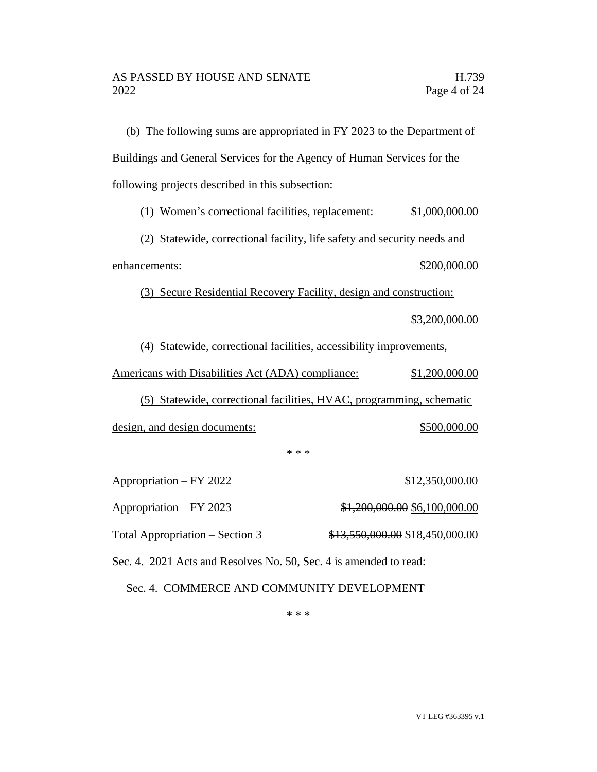(b) The following sums are appropriated in FY 2023 to the Department of Buildings and General Services for the Agency of Human Services for the following projects described in this subsection:

(1) Women's correctional facilities, replacement: \$1,000,000.00

(2) Statewide, correctional facility, life safety and security needs and enhancements:  $$200,000.00$ 

(3) Secure Residential Recovery Facility, design and construction:

\$3,200,000.00

(4) Statewide, correctional facilities, accessibility improvements,

Americans with Disabilities Act (ADA) compliance: \$1,200,000.00

(5) Statewide, correctional facilities, HVAC, programming, schematic design, and design documents:  $$500,000.00$ 

\* \* \*

Appropriation – FY 2022 \$12,350,000.00 Appropriation – FY 2023  $$1,200,000.00 $6,100,000.00$ Total Appropriation – Section 3  $$13,550,000.00 \$18,450,000.00$ 

Sec. 4. 2021 Acts and Resolves No. 50, Sec. 4 is amended to read:

Sec. 4. COMMERCE AND COMMUNITY DEVELOPMENT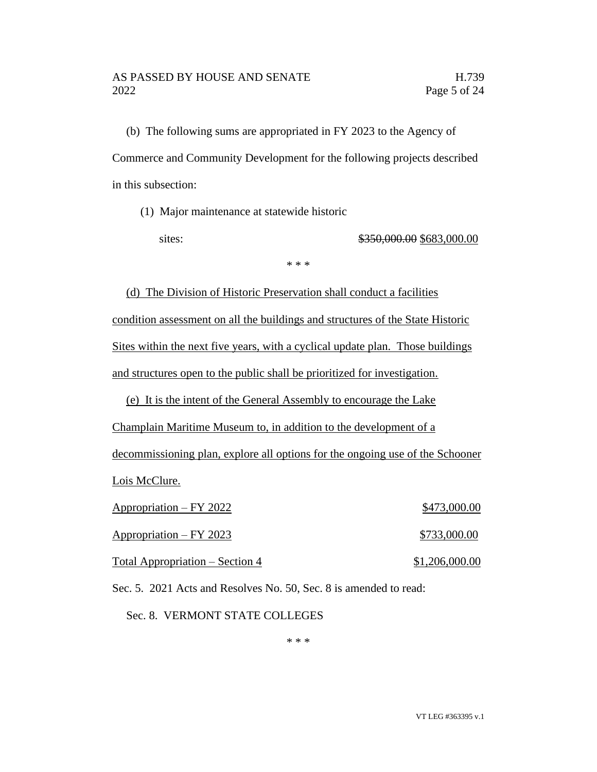(b) The following sums are appropriated in FY 2023 to the Agency of Commerce and Community Development for the following projects described in this subsection:

(1) Major maintenance at statewide historic

sites: \$350,000.00 \$683,000.00

\* \* \*

(d) The Division of Historic Preservation shall conduct a facilities condition assessment on all the buildings and structures of the State Historic Sites within the next five years, with a cyclical update plan. Those buildings and structures open to the public shall be prioritized for investigation.

(e) It is the intent of the General Assembly to encourage the Lake

Champlain Maritime Museum to, in addition to the development of a

decommissioning plan, explore all options for the ongoing use of the Schooner Lois McClure.

| Appropriation - FY 2022         | \$473,000.00   |
|---------------------------------|----------------|
| Appropriation – FY 2023         | \$733,000.00   |
| Total Appropriation – Section 4 | \$1,206,000.00 |

Sec. 5. 2021 Acts and Resolves No. 50, Sec. 8 is amended to read:

Sec. 8. VERMONT STATE COLLEGES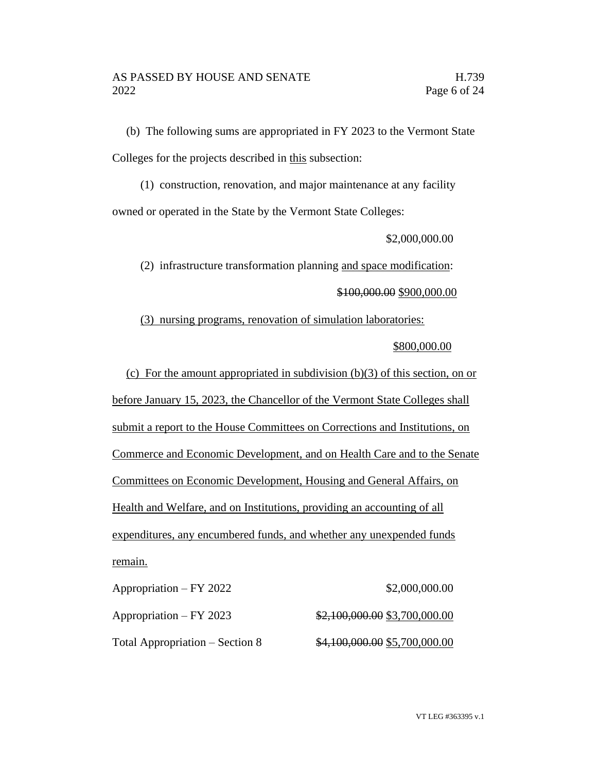(b) The following sums are appropriated in FY 2023 to the Vermont State Colleges for the projects described in this subsection:

(1) construction, renovation, and major maintenance at any facility owned or operated in the State by the Vermont State Colleges:

\$2,000,000.00

(2) infrastructure transformation planning and space modification: \$100,000.00 \$900,000.00

(3) nursing programs, renovation of simulation laboratories:

# \$800,000.00

(c) For the amount appropriated in subdivision  $(b)(3)$  of this section, on or before January 15, 2023, the Chancellor of the Vermont State Colleges shall submit a report to the House Committees on Corrections and Institutions, on Commerce and Economic Development, and on Health Care and to the Senate Committees on Economic Development, Housing and General Affairs, on Health and Welfare, and on Institutions, providing an accounting of all expenditures, any encumbered funds, and whether any unexpended funds remain.

Appropriation – FY 2022 \$2,000,000.00 Appropriation – FY 2023 \$2,100,000.00 \$3,700,000.00 Total Appropriation – Section 8  $\frac{$4,100,000.00}{$5,700,000.00}$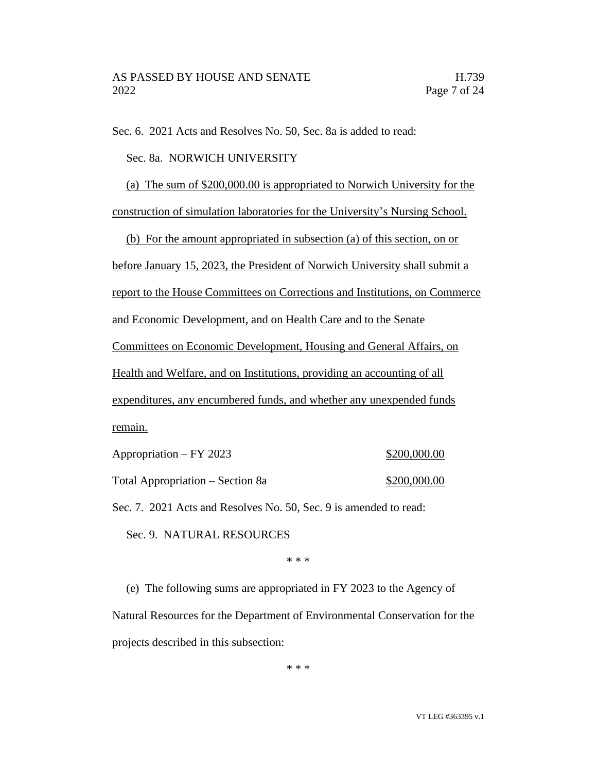Sec. 6. 2021 Acts and Resolves No. 50, Sec. 8a is added to read:

Sec. 8a. NORWICH UNIVERSITY

(a) The sum of \$200,000.00 is appropriated to Norwich University for the

construction of simulation laboratories for the University's Nursing School.

(b) For the amount appropriated in subsection (a) of this section, on or

before January 15, 2023, the President of Norwich University shall submit a

report to the House Committees on Corrections and Institutions, on Commerce

and Economic Development, and on Health Care and to the Senate

Committees on Economic Development, Housing and General Affairs, on

Health and Welfare, and on Institutions, providing an accounting of all

expenditures, any encumbered funds, and whether any unexpended funds remain.

Appropriation – FY 2023 \$200,000.00

Total Appropriation – Section 8a  $\frac{$200,000.00}{2}$ 

Sec. 7. 2021 Acts and Resolves No. 50, Sec. 9 is amended to read:

Sec. 9. NATURAL RESOURCES

\* \* \*

(e) The following sums are appropriated in FY 2023 to the Agency of Natural Resources for the Department of Environmental Conservation for the projects described in this subsection: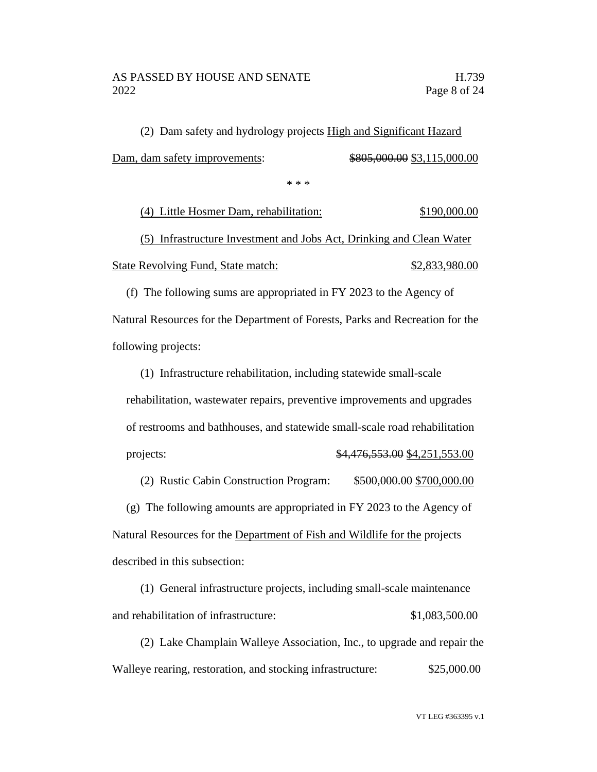(2) Dam safety and hydrology projects High and Significant Hazard Dam, dam safety improvements: \$805,000.00 \$3,115,000.00

\* \* \*

(4) Little Hosmer Dam, rehabilitation: \$190,000.00

(5) Infrastructure Investment and Jobs Act, Drinking and Clean Water State Revolving Fund, State match: \$2,833,980.00

(f) The following sums are appropriated in FY 2023 to the Agency of Natural Resources for the Department of Forests, Parks and Recreation for the following projects:

(1) Infrastructure rehabilitation, including statewide small-scale rehabilitation, wastewater repairs, preventive improvements and upgrades of restrooms and bathhouses, and statewide small-scale road rehabilitation projects: \$4,476,553.00 \$4,251,553.00

(2) Rustic Cabin Construction Program: \$500,000.00 \$700,000.00 (g) The following amounts are appropriated in FY 2023 to the Agency of Natural Resources for the Department of Fish and Wildlife for the projects described in this subsection:

(1) General infrastructure projects, including small-scale maintenance and rehabilitation of infrastructure: \$1,083,500.00

(2) Lake Champlain Walleye Association, Inc., to upgrade and repair the Walleye rearing, restoration, and stocking infrastructure: \$25,000.00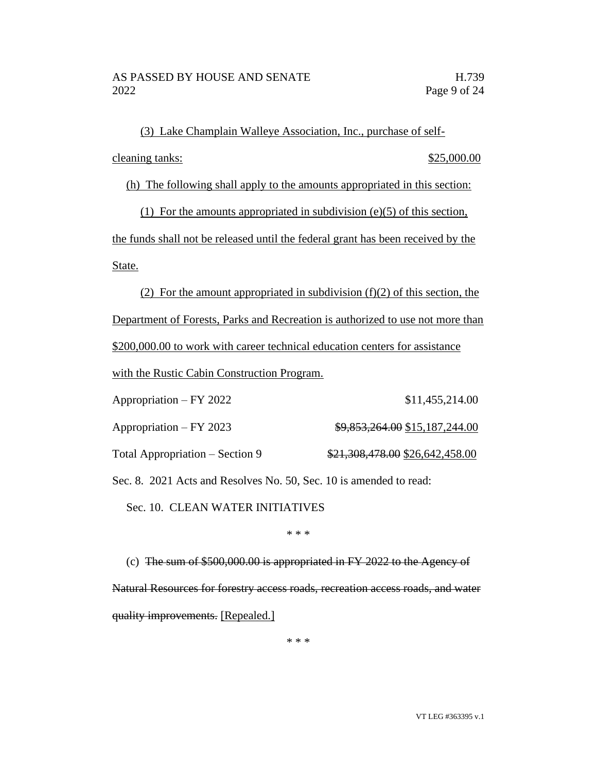(3) Lake Champlain Walleye Association, Inc., purchase of selfcleaning tanks: \$25,000.00

(h) The following shall apply to the amounts appropriated in this section:

(1) For the amounts appropriated in subdivision (e)(5) of this section, the funds shall not be released until the federal grant has been received by the State.

(2) For the amount appropriated in subdivision  $(f)(2)$  of this section, the Department of Forests, Parks and Recreation is authorized to use not more than \$200,000.00 to work with career technical education centers for assistance with the Rustic Cabin Construction Program.

| Appropriation – FY 2022         | \$11,455,214.00                 |
|---------------------------------|---------------------------------|
| Appropriation – FY 2023         | \$9,853,264.00 \$15,187,244.00  |
| Total Appropriation – Section 9 | \$21,308,478.00 \$26,642,458.00 |

Sec. 8. 2021 Acts and Resolves No. 50, Sec. 10 is amended to read:

Sec. 10. CLEAN WATER INITIATIVES

\* \* \*

(c) The sum of \$500,000.00 is appropriated in FY 2022 to the Agency of Natural Resources for forestry access roads, recreation access roads, and water quality improvements. [Repealed.]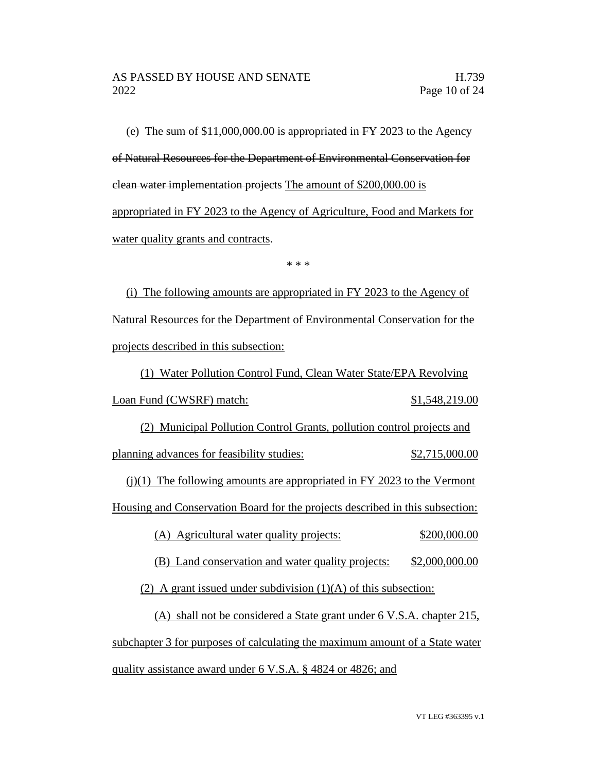(e) The sum of \$11,000,000.00 is appropriated in FY 2023 to the Agency of Natural Resources for the Department of Environmental Conservation for clean water implementation projects The amount of \$200,000.00 is appropriated in FY 2023 to the Agency of Agriculture, Food and Markets for water quality grants and contracts.

\* \* \*

(i) The following amounts are appropriated in FY 2023 to the Agency of Natural Resources for the Department of Environmental Conservation for the projects described in this subsection:

(1) Water Pollution Control Fund, Clean Water State/EPA Revolving Loan Fund (CWSRF) match: \$1,548,219.00 (2) Municipal Pollution Control Grants, pollution control projects and planning advances for feasibility studies:  $$2,715,000.00$ (j)(1) The following amounts are appropriated in FY 2023 to the Vermont

Housing and Conservation Board for the projects described in this subsection:

(A) Agricultural water quality projects: \$200,000.00

(B) Land conservation and water quality projects: \$2,000,000.00

(2) A grant issued under subdivision  $(1)(A)$  of this subsection:

(A) shall not be considered a State grant under 6 V.S.A. chapter 215, subchapter 3 for purposes of calculating the maximum amount of a State water quality assistance award under 6 V.S.A. § 4824 or 4826; and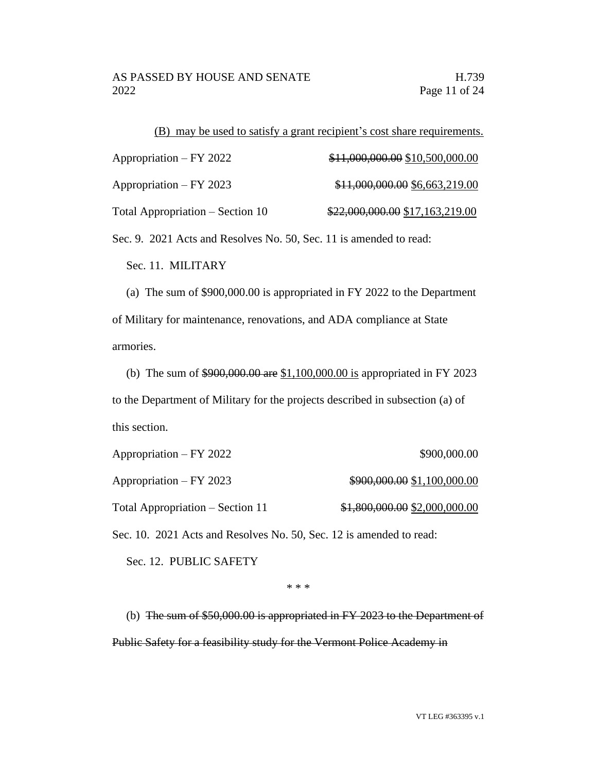| (B) may be used to satisfy a grant recipient's cost share requirements. |                                 |  |  |
|-------------------------------------------------------------------------|---------------------------------|--|--|
| Appropriation – FY 2022                                                 | \$11,000,000.00 \$10,500,000.00 |  |  |
| Appropriation – FY 2023                                                 | \$11,000,000.00 \$6,663,219.00  |  |  |
| Total Appropriation – Section 10                                        | \$22,000,000.00 \$17,163,219.00 |  |  |

Sec. 9. 2021 Acts and Resolves No. 50, Sec. 11 is amended to read:

Sec. 11. MILITARY

(a) The sum of \$900,000.00 is appropriated in FY 2022 to the Department of Military for maintenance, renovations, and ADA compliance at State armories.

(b) The sum of \$900,000.00 are \$1,100,000.00 is appropriated in FY 2023 to the Department of Military for the projects described in subsection (a) of this section.

| Appropriation – FY 2022                                             | \$900,000.00                  |
|---------------------------------------------------------------------|-------------------------------|
| $Approxation - FY 2023$                                             | \$900,000.00 \$1,100,000.00   |
| Total Appropriation – Section 11                                    | \$1,800,000.00 \$2,000,000.00 |
| Sec. 10. 2021 Acts and Resolves No. 50, Sec. 12 is amended to read: |                               |

Sec. 12. PUBLIC SAFETY

\* \* \*

(b) The sum of \$50,000.00 is appropriated in FY 2023 to the Department of Public Safety for a feasibility study for the Vermont Police Academy in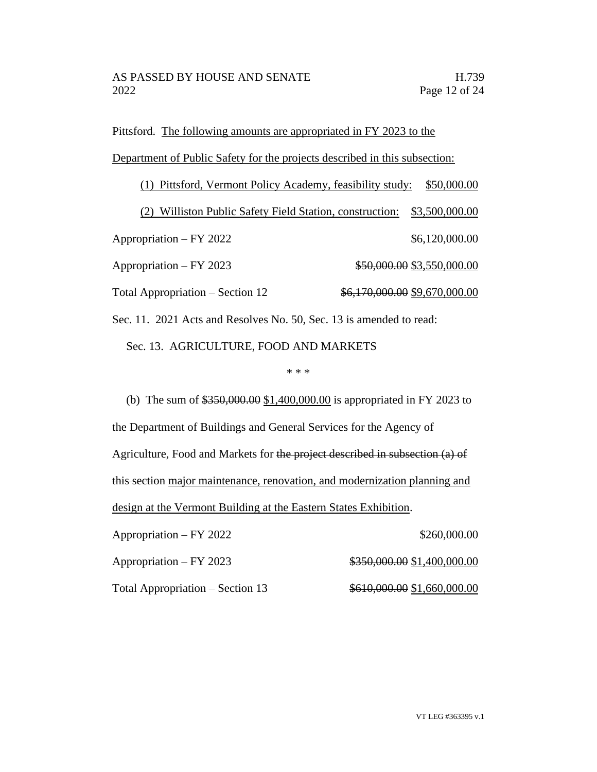Pittsford. The following amounts are appropriated in FY 2023 to the Department of Public Safety for the projects described in this subsection:

(1) Pittsford, Vermont Policy Academy, feasibility study: \$50,000.00 (2) Williston Public Safety Field Station, construction: \$3,500,000.00 Appropriation – FY 2022 \$6,120,000.00 Appropriation – FY 2023  $$50,000.00$  \$3,550,000.00 Total Appropriation – Section 12  $\frac{$6,170,000.00}{$9,670,000.00}$ Sec. 11. 2021 Acts and Resolves No. 50, Sec. 13 is amended to read:

Sec. 13. AGRICULTURE, FOOD AND MARKETS

### \* \* \*

(b) The sum of \$350,000.00 \$1,400,000.00 is appropriated in FY 2023 to the Department of Buildings and General Services for the Agency of Agriculture, Food and Markets for the project described in subsection (a) of this section major maintenance, renovation, and modernization planning and design at the Vermont Building at the Eastern States Exhibition.

Appropriation – FY 2022 \$260,000.00

Appropriation – FY 2023  $\qquad\qquad$  \$350,000.00 \$1,400,000.00

Total Appropriation – Section 13  $$610,000.00 $1,660,000.00$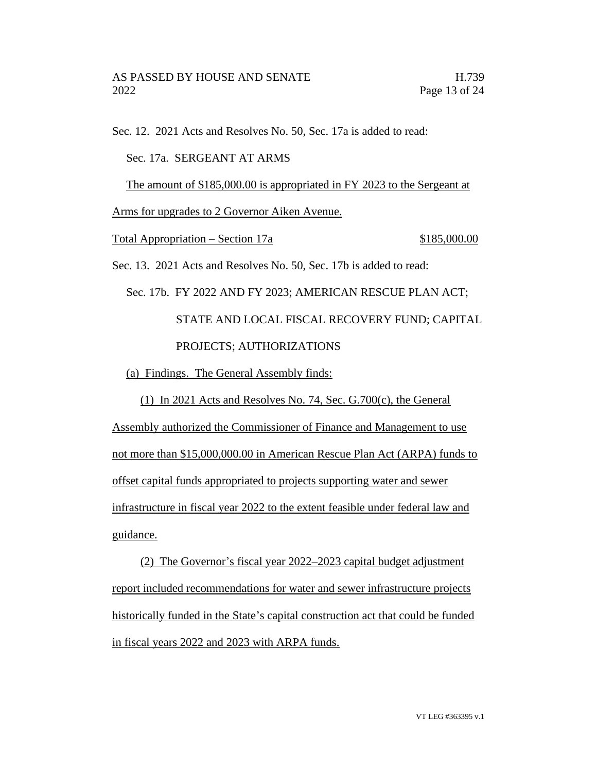Sec. 12. 2021 Acts and Resolves No. 50, Sec. 17a is added to read: Sec. 17a. SERGEANT AT ARMS The amount of \$185,000.00 is appropriated in FY 2023 to the Sergeant at Arms for upgrades to 2 Governor Aiken Avenue. Total Appropriation – Section 17a  $$185,000.00$ Sec. 13. 2021 Acts and Resolves No. 50, Sec. 17b is added to read: Sec. 17b. FY 2022 AND FY 2023; AMERICAN RESCUE PLAN ACT; STATE AND LOCAL FISCAL RECOVERY FUND; CAPITAL PROJECTS; AUTHORIZATIONS (a) Findings. The General Assembly finds: (1) In 2021 Acts and Resolves No. 74, Sec. G.700(c), the General Assembly authorized the Commissioner of Finance and Management to use not more than \$15,000,000.00 in American Rescue Plan Act (ARPA) funds to

offset capital funds appropriated to projects supporting water and sewer infrastructure in fiscal year 2022 to the extent feasible under federal law and guidance.

(2) The Governor's fiscal year 2022–2023 capital budget adjustment report included recommendations for water and sewer infrastructure projects historically funded in the State's capital construction act that could be funded in fiscal years 2022 and 2023 with ARPA funds.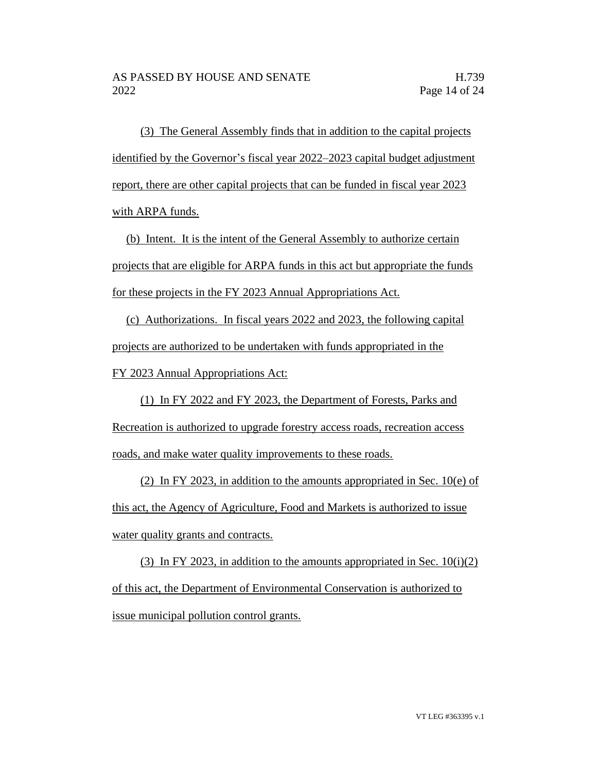(3) The General Assembly finds that in addition to the capital projects identified by the Governor's fiscal year 2022–2023 capital budget adjustment report, there are other capital projects that can be funded in fiscal year 2023 with ARPA funds.

(b) Intent. It is the intent of the General Assembly to authorize certain projects that are eligible for ARPA funds in this act but appropriate the funds for these projects in the FY 2023 Annual Appropriations Act.

(c) Authorizations. In fiscal years 2022 and 2023, the following capital projects are authorized to be undertaken with funds appropriated in the FY 2023 Annual Appropriations Act:

(1) In FY 2022 and FY 2023, the Department of Forests, Parks and Recreation is authorized to upgrade forestry access roads, recreation access roads, and make water quality improvements to these roads.

(2) In FY 2023, in addition to the amounts appropriated in Sec. 10(e) of this act, the Agency of Agriculture, Food and Markets is authorized to issue water quality grants and contracts.

(3) In FY 2023, in addition to the amounts appropriated in Sec.  $10(i)(2)$ of this act, the Department of Environmental Conservation is authorized to issue municipal pollution control grants.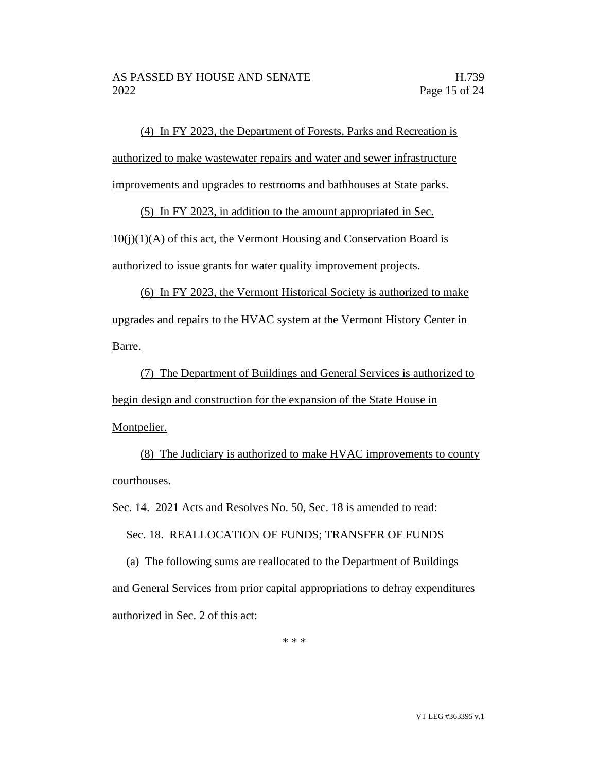(4) In FY 2023, the Department of Forests, Parks and Recreation is authorized to make wastewater repairs and water and sewer infrastructure improvements and upgrades to restrooms and bathhouses at State parks.

(5) In FY 2023, in addition to the amount appropriated in Sec.

 $10(i)(1)(A)$  of this act, the Vermont Housing and Conservation Board is authorized to issue grants for water quality improvement projects.

(6) In FY 2023, the Vermont Historical Society is authorized to make upgrades and repairs to the HVAC system at the Vermont History Center in Barre.

(7) The Department of Buildings and General Services is authorized to begin design and construction for the expansion of the State House in Montpelier.

(8) The Judiciary is authorized to make HVAC improvements to county courthouses.

Sec. 14. 2021 Acts and Resolves No. 50, Sec. 18 is amended to read:

Sec. 18. REALLOCATION OF FUNDS; TRANSFER OF FUNDS

(a) The following sums are reallocated to the Department of Buildings and General Services from prior capital appropriations to defray expenditures authorized in Sec. 2 of this act: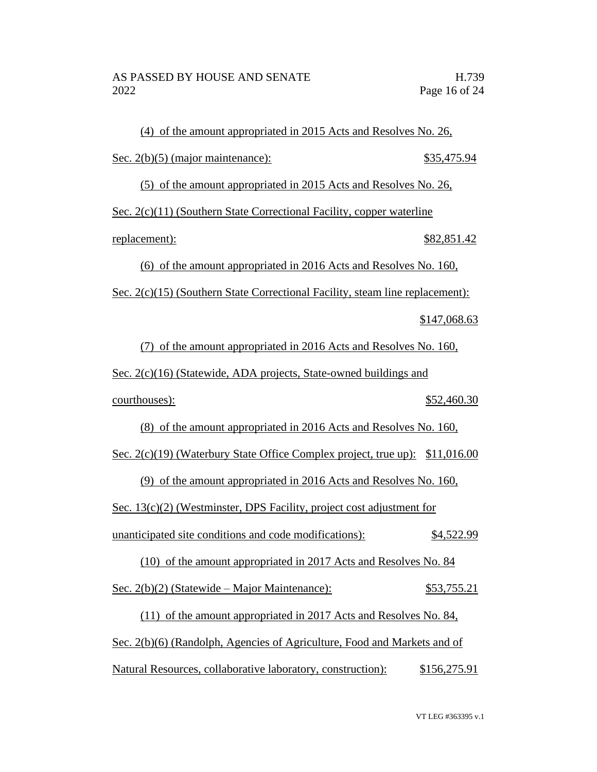(4) of the amount appropriated in 2015 Acts and Resolves No. 26, Sec. 2(b)(5) (major maintenance): \$35,475.94 (5) of the amount appropriated in 2015 Acts and Resolves No. 26, Sec. 2(c)(11) (Southern State Correctional Facility, copper waterline replacement): \$82,851.42 (6) of the amount appropriated in 2016 Acts and Resolves No. 160, Sec. 2(c)(15) (Southern State Correctional Facility, steam line replacement): \$147,068.63 (7) of the amount appropriated in 2016 Acts and Resolves No. 160, Sec. 2(c)(16) (Statewide, ADA projects, State-owned buildings and courthouses): \$52,460.30 (8) of the amount appropriated in 2016 Acts and Resolves No. 160, Sec. 2(c)(19) (Waterbury State Office Complex project, true up): \$11,016.00 (9) of the amount appropriated in 2016 Acts and Resolves No. 160, Sec. 13(c)(2) (Westminster, DPS Facility, project cost adjustment for unanticipated site conditions and code modifications): \$4,522.99 (10) of the amount appropriated in 2017 Acts and Resolves No. 84 Sec. 2(b)(2) (Statewide – Major Maintenance): \$53,755.21 (11) of the amount appropriated in 2017 Acts and Resolves No. 84, Sec. 2(b)(6) (Randolph, Agencies of Agriculture, Food and Markets and of Natural Resources, collaborative laboratory, construction): \$156,275.91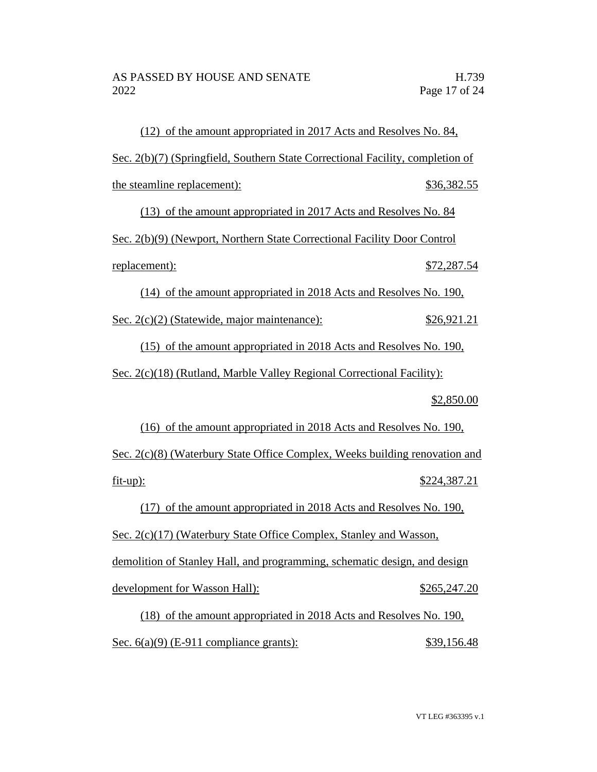(12) of the amount appropriated in 2017 Acts and Resolves No. 84, Sec. 2(b)(7) (Springfield, Southern State Correctional Facility, completion of the steamline replacement):  $$36,382.55$ (13) of the amount appropriated in 2017 Acts and Resolves No. 84 Sec. 2(b)(9) (Newport, Northern State Correctional Facility Door Control replacement):  $$72,287.54$ (14) of the amount appropriated in 2018 Acts and Resolves No. 190, Sec. 2(c)(2) (Statewide, major maintenance): \$26,921.21 (15) of the amount appropriated in 2018 Acts and Resolves No. 190, Sec. 2(c)(18) (Rutland, Marble Valley Regional Correctional Facility): \$2,850.00 (16) of the amount appropriated in 2018 Acts and Resolves No. 190, Sec. 2(c)(8) (Waterbury State Office Complex, Weeks building renovation and fit-up): \$224,387.21 (17) of the amount appropriated in 2018 Acts and Resolves No. 190, Sec. 2(c)(17) (Waterbury State Office Complex, Stanley and Wasson, demolition of Stanley Hall, and programming, schematic design, and design development for Wasson Hall):  $$265,247.20$ (18) of the amount appropriated in 2018 Acts and Resolves No. 190,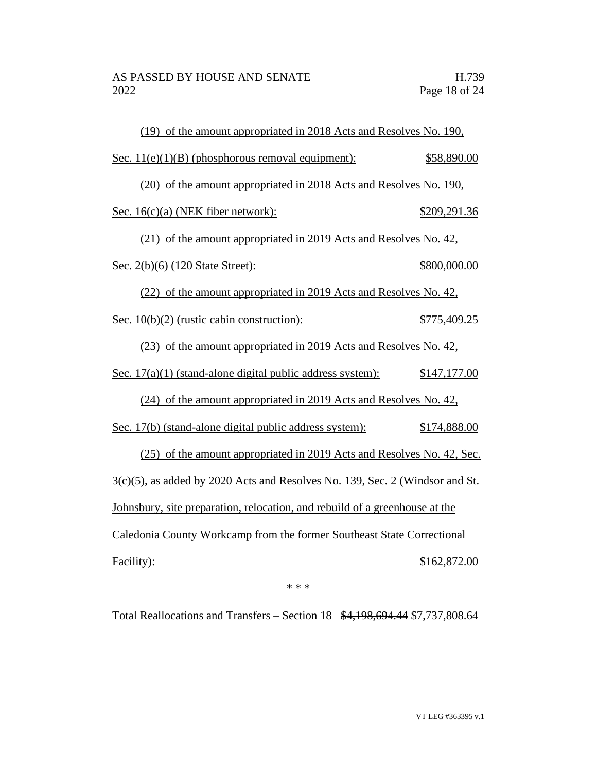| (19) of the amount appropriated in 2018 Acts and Resolves No. 190,              |              |  |  |
|---------------------------------------------------------------------------------|--------------|--|--|
| Sec. $11(e)(1)(B)$ (phosphorous removal equipment):                             | \$58,890.00  |  |  |
| (20) of the amount appropriated in 2018 Acts and Resolves No. 190,              |              |  |  |
| Sec. 16(c)(a) (NEK fiber network):                                              | \$209,291.36 |  |  |
| (21) of the amount appropriated in 2019 Acts and Resolves No. 42,               |              |  |  |
| Sec. 2(b)(6) (120 State Street):                                                | \$800,000.00 |  |  |
| (22) of the amount appropriated in 2019 Acts and Resolves No. 42,               |              |  |  |
| Sec. $10(b)(2)$ (rustic cabin construction):                                    | \$775,409.25 |  |  |
| (23) of the amount appropriated in 2019 Acts and Resolves No. 42,               |              |  |  |
| Sec. $17(a)(1)$ (stand-alone digital public address system):                    | \$147,177.00 |  |  |
| (24) of the amount appropriated in 2019 Acts and Resolves No. 42,               |              |  |  |
| Sec. 17(b) (stand-alone digital public address system):                         | \$174,888.00 |  |  |
| (25) of the amount appropriated in 2019 Acts and Resolves No. 42, Sec.          |              |  |  |
| $3(c)(5)$ , as added by 2020 Acts and Resolves No. 139, Sec. 2 (Windsor and St. |              |  |  |
| Johnsbury, site preparation, relocation, and rebuild of a greenhouse at the     |              |  |  |
| Caledonia County Workcamp from the former Southeast State Correctional          |              |  |  |
| Facility):                                                                      | \$162,872.00 |  |  |
|                                                                                 |              |  |  |

\* \* \*

Total Reallocations and Transfers – Section 18 \$4,198,694.44 \$7,737,808.64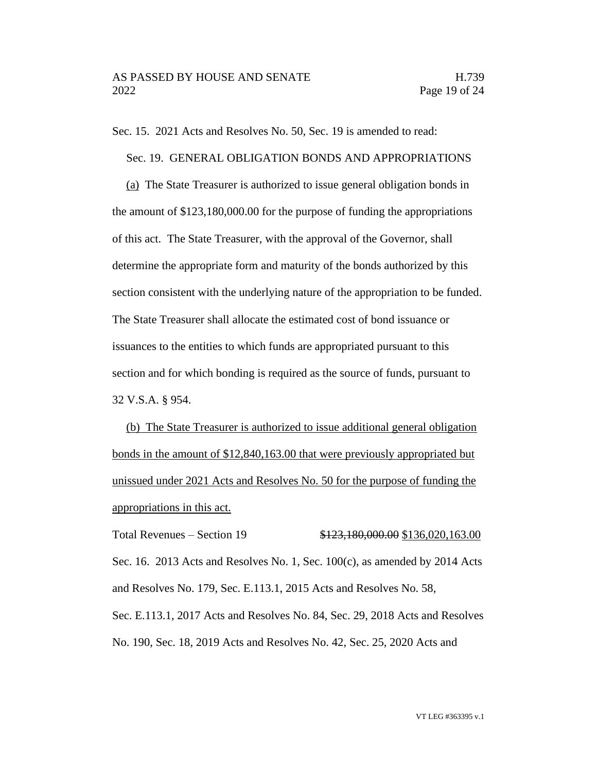Sec. 15. 2021 Acts and Resolves No. 50, Sec. 19 is amended to read:

Sec. 19. GENERAL OBLIGATION BONDS AND APPROPRIATIONS

(a) The State Treasurer is authorized to issue general obligation bonds in the amount of \$123,180,000.00 for the purpose of funding the appropriations of this act. The State Treasurer, with the approval of the Governor, shall determine the appropriate form and maturity of the bonds authorized by this section consistent with the underlying nature of the appropriation to be funded. The State Treasurer shall allocate the estimated cost of bond issuance or issuances to the entities to which funds are appropriated pursuant to this section and for which bonding is required as the source of funds, pursuant to 32 V.S.A. § 954.

(b) The State Treasurer is authorized to issue additional general obligation bonds in the amount of \$12,840,163.00 that were previously appropriated but unissued under 2021 Acts and Resolves No. 50 for the purpose of funding the appropriations in this act.

Total Revenues – Section 19 \$123,180,000.00 \$136,020,163.00 Sec. 16. 2013 Acts and Resolves No. 1, Sec.  $100(c)$ , as amended by 2014 Acts and Resolves No. 179, Sec. E.113.1, 2015 Acts and Resolves No. 58, Sec. E.113.1, 2017 Acts and Resolves No. 84, Sec. 29, 2018 Acts and Resolves No. 190, Sec. 18, 2019 Acts and Resolves No. 42, Sec. 25, 2020 Acts and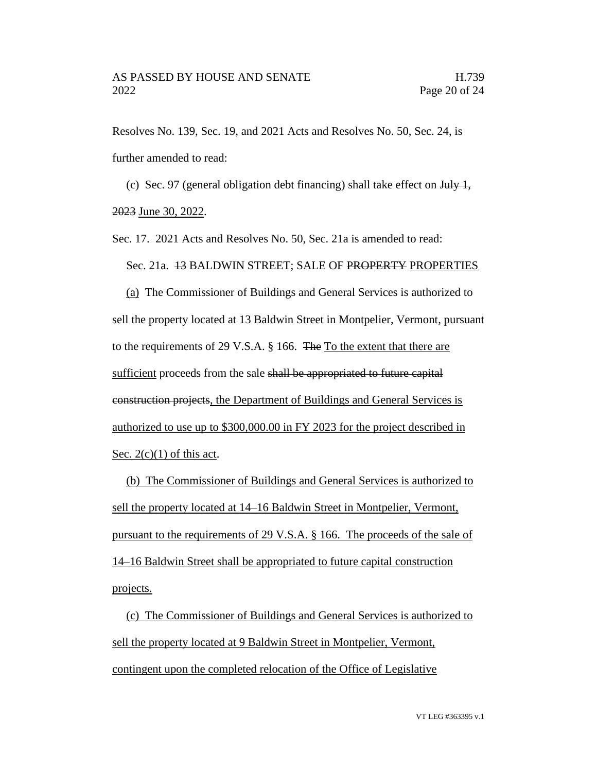Resolves No. 139, Sec. 19, and 2021 Acts and Resolves No. 50, Sec. 24, is further amended to read:

(c) Sec. 97 (general obligation debt financing) shall take effect on  $\frac{1 \text{d} y}{1}$ , 2023 June 30, 2022.

Sec. 17. 2021 Acts and Resolves No. 50, Sec. 21a is amended to read:

Sec. 21a. 13 BALDWIN STREET; SALE OF PROPERTY PROPERTIES

(a) The Commissioner of Buildings and General Services is authorized to sell the property located at 13 Baldwin Street in Montpelier, Vermont, pursuant to the requirements of 29 V.S.A. § 166. The To the extent that there are sufficient proceeds from the sale shall be appropriated to future capital construction projects, the Department of Buildings and General Services is authorized to use up to \$300,000.00 in FY 2023 for the project described in Sec.  $2(c)(1)$  of this act.

(b) The Commissioner of Buildings and General Services is authorized to sell the property located at 14–16 Baldwin Street in Montpelier, Vermont, pursuant to the requirements of 29 V.S.A. § 166. The proceeds of the sale of 14–16 Baldwin Street shall be appropriated to future capital construction projects.

(c) The Commissioner of Buildings and General Services is authorized to sell the property located at 9 Baldwin Street in Montpelier, Vermont, contingent upon the completed relocation of the Office of Legislative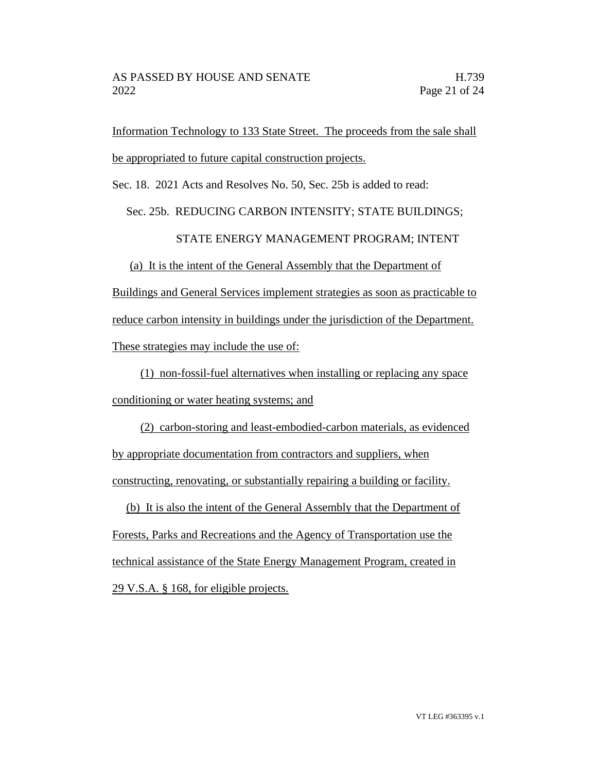Information Technology to 133 State Street. The proceeds from the sale shall be appropriated to future capital construction projects.

Sec. 18. 2021 Acts and Resolves No. 50, Sec. 25b is added to read:

# Sec. 25b. REDUCING CARBON INTENSITY; STATE BUILDINGS;

# STATE ENERGY MANAGEMENT PROGRAM; INTENT

(a) It is the intent of the General Assembly that the Department of Buildings and General Services implement strategies as soon as practicable to reduce carbon intensity in buildings under the jurisdiction of the Department. These strategies may include the use of:

(1) non-fossil-fuel alternatives when installing or replacing any space conditioning or water heating systems; and

(2) carbon-storing and least-embodied-carbon materials, as evidenced by appropriate documentation from contractors and suppliers, when constructing, renovating, or substantially repairing a building or facility.

(b) It is also the intent of the General Assembly that the Department of Forests, Parks and Recreations and the Agency of Transportation use the technical assistance of the State Energy Management Program, created in 29 V.S.A. § 168, for eligible projects.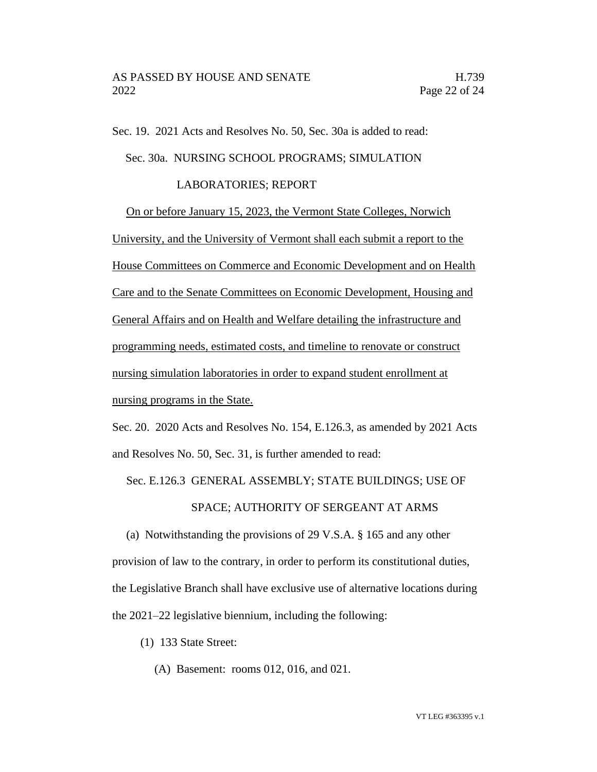Sec. 19. 2021 Acts and Resolves No. 50, Sec. 30a is added to read:

Sec. 30a. NURSING SCHOOL PROGRAMS; SIMULATION

## LABORATORIES; REPORT

On or before January 15, 2023, the Vermont State Colleges, Norwich University, and the University of Vermont shall each submit a report to the House Committees on Commerce and Economic Development and on Health Care and to the Senate Committees on Economic Development, Housing and General Affairs and on Health and Welfare detailing the infrastructure and programming needs, estimated costs, and timeline to renovate or construct nursing simulation laboratories in order to expand student enrollment at nursing programs in the State.

Sec. 20. 2020 Acts and Resolves No. 154, E.126.3, as amended by 2021 Acts and Resolves No. 50, Sec. 31, is further amended to read:

Sec. E.126.3 GENERAL ASSEMBLY; STATE BUILDINGS; USE OF

### SPACE; AUTHORITY OF SERGEANT AT ARMS

(a) Notwithstanding the provisions of 29 V.S.A. § 165 and any other provision of law to the contrary, in order to perform its constitutional duties, the Legislative Branch shall have exclusive use of alternative locations during the 2021–22 legislative biennium, including the following:

(1) 133 State Street:

(A) Basement: rooms 012, 016, and 021.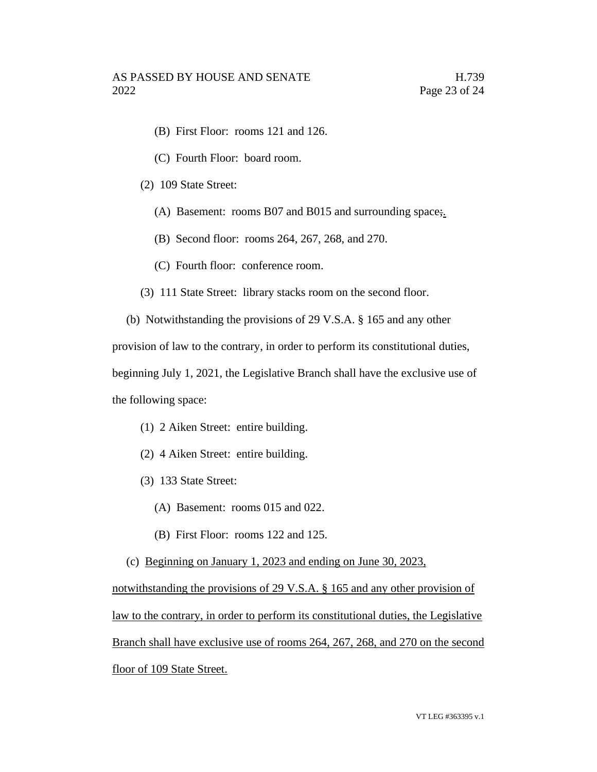- (B) First Floor: rooms 121 and 126.
- (C) Fourth Floor: board room.
- (2) 109 State Street:
	- (A) Basement: rooms B07 and B015 and surrounding space;
	- (B) Second floor: rooms 264, 267, 268, and 270.
	- (C) Fourth floor: conference room.
- (3) 111 State Street: library stacks room on the second floor.
- (b) Notwithstanding the provisions of 29 V.S.A. § 165 and any other

provision of law to the contrary, in order to perform its constitutional duties,

beginning July 1, 2021, the Legislative Branch shall have the exclusive use of the following space:

- (1) 2 Aiken Street: entire building.
- (2) 4 Aiken Street: entire building.
- (3) 133 State Street:
	- (A) Basement: rooms 015 and 022.
	- (B) First Floor: rooms 122 and 125.
- (c) Beginning on January 1, 2023 and ending on June 30, 2023,

notwithstanding the provisions of 29 V.S.A. § 165 and any other provision of law to the contrary, in order to perform its constitutional duties, the Legislative Branch shall have exclusive use of rooms 264, 267, 268, and 270 on the second floor of 109 State Street.